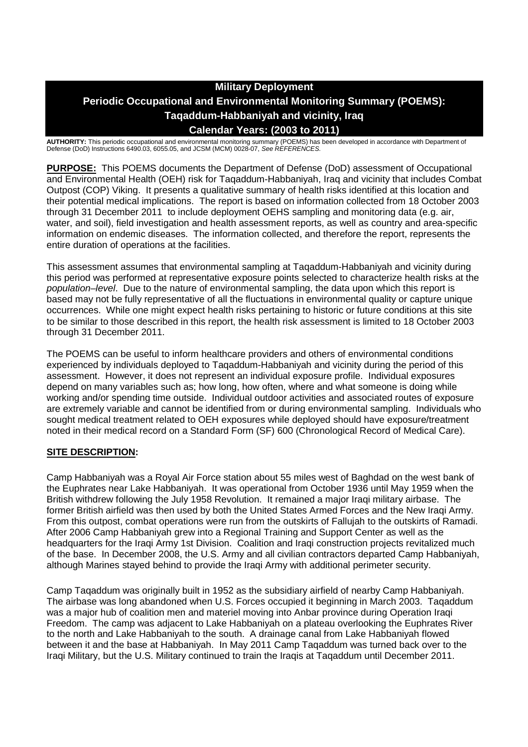# **Military Deployment Periodic Occupational and Environmental Monitoring Summary (POEMS): Taqaddum-Habbaniyah and vicinity, Iraq Calendar Years: (2003 to 2011)**

**AUTHORITY:** This periodic occupational and environmental monitoring summary (POEMS) has been developed in accordance with Department of Defense (DoD) Instructions 6490.03, 6055.05, and JCSM (MCM) 0028-07, *See REFERENCES.*

**PURPOSE:** This POEMS documents the Department of Defense (DoD) assessment of Occupational and Environmental Health (OEH) risk for Taqaddum-Habbaniyah, Iraq and vicinity that includes Combat Outpost (COP) Viking. It presents a qualitative summary of health risks identified at this location and their potential medical implications. The report is based on information collected from 18 October 2003 through 31 December 2011 to include deployment OEHS sampling and monitoring data (e.g. air, water, and soil), field investigation and health assessment reports, as well as country and area-specific information on endemic diseases. The information collected, and therefore the report, represents the entire duration of operations at the facilities.

This assessment assumes that environmental sampling at Taqaddum-Habbaniyah and vicinity during this period was performed at representative exposure points selected to characterize health risks at the *population–level*. Due to the nature of environmental sampling, the data upon which this report is based may not be fully representative of all the fluctuations in environmental quality or capture unique occurrences. While one might expect health risks pertaining to historic or future conditions at this site to be similar to those described in this report, the health risk assessment is limited to 18 October 2003 through 31 December 2011.

The POEMS can be useful to inform healthcare providers and others of environmental conditions experienced by individuals deployed to Taqaddum-Habbaniyah and vicinity during the period of this assessment. However, it does not represent an individual exposure profile. Individual exposures depend on many variables such as; how long, how often, where and what someone is doing while working and/or spending time outside. Individual outdoor activities and associated routes of exposure are extremely variable and cannot be identified from or during environmental sampling. Individuals who sought medical treatment related to OEH exposures while deployed should have exposure/treatment noted in their medical record on a Standard Form (SF) 600 (Chronological Record of Medical Care).

## **SITE DESCRIPTION:**

Camp Habbaniyah was a Royal Air Force station about 55 miles west of Baghdad on the west bank of the Euphrates near Lake Habbaniyah. It was operational from October 1936 until May 1959 when the British withdrew following the July 1958 Revolution. It remained a major Iraqi military airbase. The former British airfield was then used by both the United States Armed Forces and the New Iraqi Army. From this outpost, combat operations were run from the outskirts of Fallujah to the outskirts of Ramadi. After 2006 Camp Habbaniyah grew into a Regional Training and Support Center as well as the headquarters for the Iraqi Army 1st Division. Coalition and Iraqi construction projects revitalized much of the base. In December 2008, the U.S. Army and all civilian contractors departed Camp Habbaniyah, although Marines stayed behind to provide the Iraqi Army with additional perimeter security.

Camp Taqaddum was originally built in 1952 as the subsidiary airfield of nearby Camp Habbaniyah. The airbase was long abandoned when U.S. Forces occupied it beginning in March 2003. Taqaddum was a major hub of coalition men and materiel moving into Anbar province during Operation Iraqi Freedom. The camp was adjacent to Lake Habbaniyah on a plateau overlooking the Euphrates River to the north and Lake Habbaniyah to the south. A drainage canal from Lake Habbaniyah flowed between it and the base at Habbaniyah. In May 2011 Camp Taqaddum was turned back over to the Iraqi Military, but the U.S. Military continued to train the Iraqis at Taqaddum until December 2011.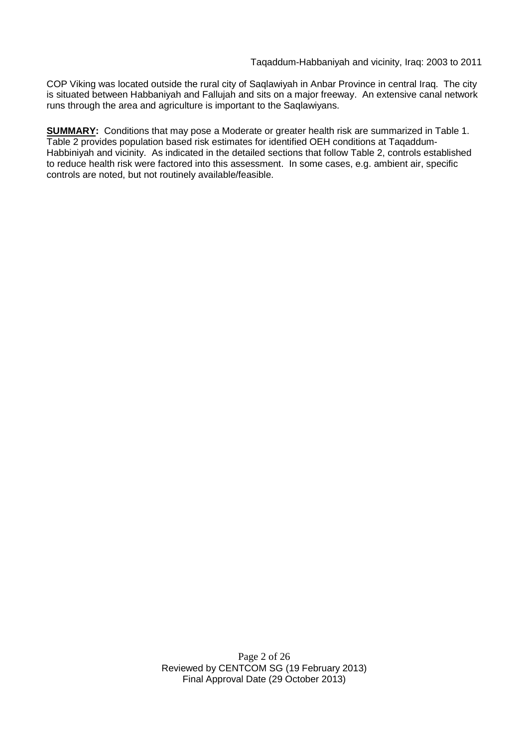COP Viking was located outside the rural city of Saqlawiyah in Anbar Province in central Iraq. The city is situated between Habbaniyah and Fallujah and sits on a major freeway. An extensive canal network runs through the area and agriculture is important to the Saqlawiyans.

**SUMMARY:** Conditions that may pose a Moderate or greater health risk are summarized in Table 1. Table 2 provides population based risk estimates for identified OEH conditions at Taqaddum-Habbiniyah and vicinity. As indicated in the detailed sections that follow Table 2, controls established to reduce health risk were factored into this assessment. In some cases, e.g. ambient air, specific controls are noted, but not routinely available/feasible.

> Page 2 of 26 Reviewed by CENTCOM SG (19 February 2013) Final Approval Date (29 October 2013)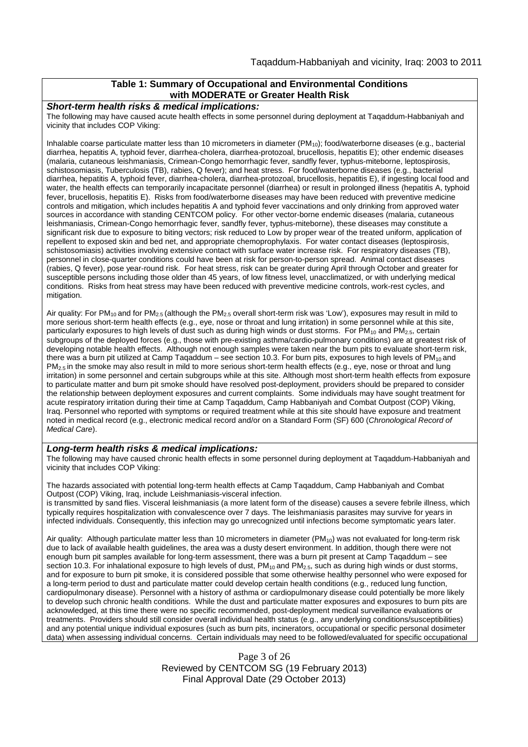### **Table 1: Summary of Occupational and Environmental Conditions with MODERATE or Greater Health Risk**

*Short-term health risks & medical implications:*

The following may have caused acute health effects in some personnel during deployment at Taqaddum-Habbaniyah and vicinity that includes COP Viking:

Inhalable coarse particulate matter less than 10 micrometers in diameter (PM<sub>10</sub>); food/waterborne diseases (e.g., bacterial diarrhea, hepatitis A, typhoid fever, diarrhea-cholera, diarrhea-protozoal, brucellosis, hepatitis E); other endemic diseases (malaria, cutaneous leishmaniasis, Crimean-Congo hemorrhagic fever, sandfly fever, typhus-miteborne, leptospirosis, schistosomiasis, Tuberculosis (TB), rabies, Q fever); and heat stress. For food/waterborne diseases (e.g., bacterial diarrhea, hepatitis A, typhoid fever, diarrhea-cholera, diarrhea-protozoal, brucellosis, hepatitis E), if ingesting local food and water, the health effects can temporarily incapacitate personnel (diarrhea) or result in prolonged illness (hepatitis A, typhoid fever, brucellosis, hepatitis E). Risks from food/waterborne diseases may have been reduced with preventive medicine controls and mitigation, which includes hepatitis A and typhoid fever vaccinations and only drinking from approved water sources in accordance with standing CENTCOM policy. For other vector-borne endemic diseases (malaria, cutaneous leishmaniasis, Crimean-Congo hemorrhagic fever, sandfly fever, typhus-miteborne), these diseases may constitute a significant risk due to exposure to biting vectors; risk reduced to Low by proper wear of the treated uniform, application of repellent to exposed skin and bed net, and appropriate chemoprophylaxis. For water contact diseases (leptospirosis, schistosomiasis) activities involving extensive contact with surface water increase risk. For respiratory diseases (TB), personnel in close-quarter conditions could have been at risk for person-to-person spread. Animal contact diseases (rabies, Q fever), pose year-round risk. For heat stress, risk can be greater during April through October and greater for susceptible persons including those older than 45 years, of low fitness level, unacclimatized, or with underlying medical conditions. Risks from heat stress may have been reduced with preventive medicine controls, work-rest cycles, and mitigation.

Air quality: For PM<sub>10</sub> and for PM<sub>2.5</sub> (although the PM<sub>2.5</sub> overall short-term risk was 'Low'), exposures may result in mild to more serious short-term health effects (e.g., eye, nose or throat and lung irritation) in some personnel while at this site, particularly exposures to high levels of dust such as during high winds or dust storms. For  $PM_{10}$  and  $PM_{2.5}$ , certain subgroups of the deployed forces (e.g., those with pre-existing asthma/cardio-pulmonary conditions) are at greatest risk of developing notable health effects. Although not enough samples were taken near the burn pits to evaluate short-term risk, there was a burn pit utilized at Camp Taqaddum – see section 10.3. For burn pits, exposures to high levels of  $PM_{10}$  and PM<sub>2.5</sub> in the smoke may also result in mild to more serious short-term health effects (e.g., eye, nose or throat and lung irritation) in some personnel and certain subgroups while at this site. Although most short-term health effects from exposure to particulate matter and burn pit smoke should have resolved post-deployment, providers should be prepared to consider the relationship between deployment exposures and current complaints. Some individuals may have sought treatment for acute respiratory irritation during their time at Camp Taqaddum, Camp Habbaniyah and Combat Outpost (COP) Viking, Iraq. Personnel who reported with symptoms or required treatment while at this site should have exposure and treatment noted in medical record (e.g., electronic medical record and/or on a Standard Form (SF) 600 (*Chronological Record of Medical Care*).

#### *Long-term health risks & medical implications:*

The following may have caused chronic health effects in some personnel during deployment at Taqaddum-Habbaniyah and vicinity that includes COP Viking:

The hazards associated with potential long-term health effects at Camp Taqaddum, Camp Habbaniyah and Combat Outpost (COP) Viking, Iraq, include Leishmaniasis-visceral infection. is transmitted by sand flies. Visceral leishmaniasis (a more latent form of the disease) causes a severe febrile illness, which typically requires hospitalization with convalescence over 7 days. The leishmaniasis parasites may survive for years in infected individuals. Consequently, this infection may go unrecognized until infections become symptomatic years later.

Air quality: Although particulate matter less than 10 micrometers in diameter (PM<sub>10</sub>) was not evaluated for long-term risk due to lack of available health guidelines, the area was a dusty desert environment. In addition, though there were not enough burn pit samples available for long-term assessment, there was a burn pit present at Camp Taqaddum – see section 10.3. For inhalational exposure to high levels of dust,  $PM_{10}$  and  $PM_{2.5}$ , such as during high winds or dust storms, and for exposure to burn pit smoke, it is considered possible that some otherwise healthy personnel who were exposed for a long-term period to dust and particulate matter could develop certain health conditions (e.g., reduced lung function, cardiopulmonary disease). Personnel with a history of asthma or cardiopulmonary disease could potentially be more likely to develop such chronic health conditions. While the dust and particulate matter exposures and exposures to burn pits are acknowledged, at this time there were no specific recommended, post-deployment medical surveillance evaluations or treatments. Providers should still consider overall individual health status (e.g., any underlying conditions/susceptibilities) and any potential unique individual exposures (such as burn pits, incinerators, occupational or specific personal dosimeter data) when assessing individual concerns. Certain individuals may need to be followed/evaluated for specific occupational

> Page 3 of 26 Reviewed by CENTCOM SG (19 February 2013) Final Approval Date (29 October 2013)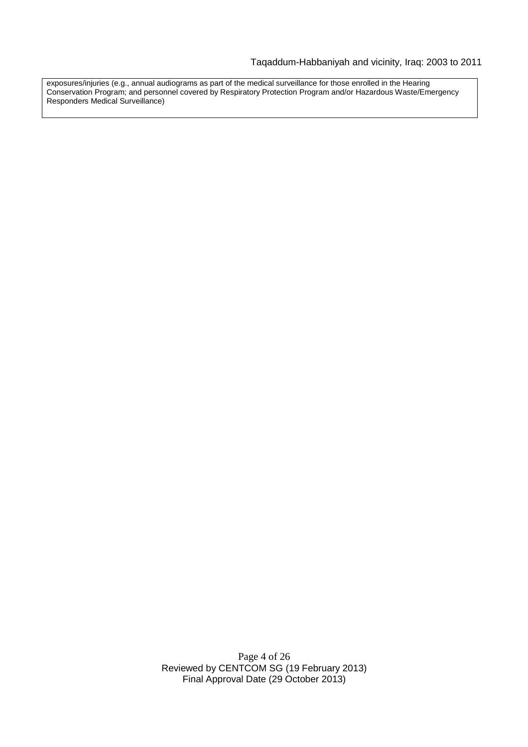exposures/injuries (e.g., annual audiograms as part of the medical surveillance for those enrolled in the Hearing Conservation Program; and personnel covered by Respiratory Protection Program and/or Hazardous Waste/Emergency Responders Medical Surveillance)

> Page 4 of 26 Reviewed by CENTCOM SG (19 February 2013) Final Approval Date (29 October 2013)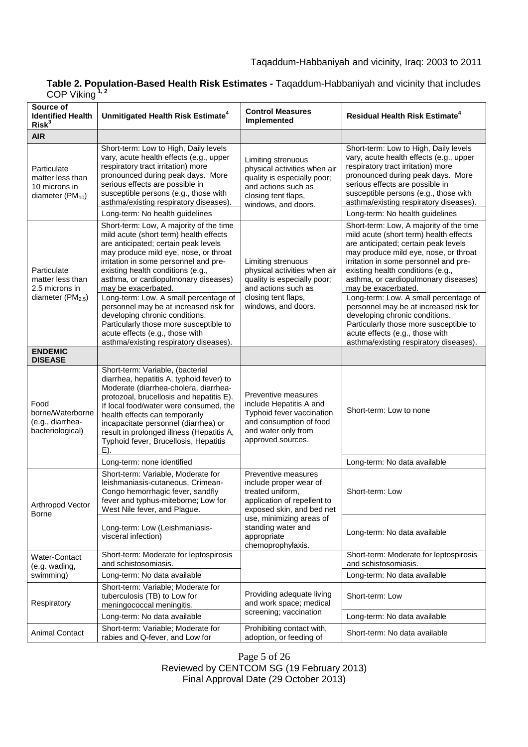| Table 2. Population-Based Health Risk Estimates - Tagaddum-Habbaniyah and vicinity that includes |  |
|--------------------------------------------------------------------------------------------------|--|
| COP Viking $1, 2$                                                                                |  |

| Source of<br><b>Identified Health</b><br>Risk <sup>3</sup>                       | Unmitigated Health Risk Estimate <sup>4</sup>                                                                                                                                                                                                                                                                                                                                                                                                                                                                                                               | <b>Control Measures</b><br>Implemented                                                                                                                                                                              | <b>Residual Health Risk Estimate<sup>4</sup></b>                                                                                                                                                                                                                                                                                                                                                                                                                                                                                                            |
|----------------------------------------------------------------------------------|-------------------------------------------------------------------------------------------------------------------------------------------------------------------------------------------------------------------------------------------------------------------------------------------------------------------------------------------------------------------------------------------------------------------------------------------------------------------------------------------------------------------------------------------------------------|---------------------------------------------------------------------------------------------------------------------------------------------------------------------------------------------------------------------|-------------------------------------------------------------------------------------------------------------------------------------------------------------------------------------------------------------------------------------------------------------------------------------------------------------------------------------------------------------------------------------------------------------------------------------------------------------------------------------------------------------------------------------------------------------|
| <b>AIR</b>                                                                       |                                                                                                                                                                                                                                                                                                                                                                                                                                                                                                                                                             |                                                                                                                                                                                                                     |                                                                                                                                                                                                                                                                                                                                                                                                                                                                                                                                                             |
| Particulate<br>matter less than<br>10 microns in<br>diameter (PM <sub>10</sub> ) | Short-term: Low to High, Daily levels<br>vary, acute health effects (e.g., upper<br>respiratory tract irritation) more<br>pronounced during peak days. More<br>serious effects are possible in<br>susceptible persons (e.g., those with<br>asthma/existing respiratory diseases).<br>Long-term: No health guidelines                                                                                                                                                                                                                                        | Limiting strenuous<br>physical activities when air<br>quality is especially poor;<br>and actions such as<br>closing tent flaps,<br>windows, and doors.                                                              | Short-term: Low to High, Daily levels<br>vary, acute health effects (e.g., upper<br>respiratory tract irritation) more<br>pronounced during peak days. More<br>serious effects are possible in<br>susceptible persons (e.g., those with<br>asthma/existing respiratory diseases).<br>Long-term: No health guidelines                                                                                                                                                                                                                                        |
| Particulate<br>matter less than<br>2.5 microns in<br>diameter ( $PM2.5$ )        | Short-term: Low, A majority of the time<br>mild acute (short term) health effects<br>are anticipated; certain peak levels<br>may produce mild eye, nose, or throat<br>irritation in some personnel and pre-<br>existing health conditions (e.g.,<br>asthma, or cardiopulmonary diseases)<br>may be exacerbated.<br>Long-term: Low. A small percentage of<br>personnel may be at increased risk for<br>developing chronic conditions.<br>Particularly those more susceptible to<br>acute effects (e.g., those with<br>asthma/existing respiratory diseases). | Limiting strenuous<br>physical activities when air<br>quality is especially poor;<br>and actions such as<br>closing tent flaps,<br>windows, and doors.                                                              | Short-term: Low, A majority of the time<br>mild acute (short term) health effects<br>are anticipated; certain peak levels<br>may produce mild eye, nose, or throat<br>irritation in some personnel and pre-<br>existing health conditions (e.g.,<br>asthma, or cardiopulmonary diseases)<br>may be exacerbated.<br>Long-term: Low. A small percentage of<br>personnel may be at increased risk for<br>developing chronic conditions.<br>Particularly those more susceptible to<br>acute effects (e.g., those with<br>asthma/existing respiratory diseases). |
| <b>ENDEMIC</b><br><b>DISEASE</b>                                                 |                                                                                                                                                                                                                                                                                                                                                                                                                                                                                                                                                             |                                                                                                                                                                                                                     |                                                                                                                                                                                                                                                                                                                                                                                                                                                                                                                                                             |
| Food<br>borne/Waterborne<br>(e.g., diarrhea-<br>bacteriological)                 | Short-term: Variable, (bacterial<br>diarrhea, hepatitis A, typhoid fever) to<br>Moderate (diarrhea-cholera, diarrhea-<br>protozoal, brucellosis and hepatitis E).<br>If local food/water were consumed, the<br>health effects can temporarily<br>incapacitate personnel (diarrhea) or<br>result in prolonged illness (Hepatitis A,<br>Typhoid fever, Brucellosis, Hepatitis<br>E).                                                                                                                                                                          | Preventive measures<br>include Hepatitis A and<br>Typhoid fever vaccination<br>and consumption of food<br>and water only from<br>approved sources.                                                                  | Short-term: Low to none                                                                                                                                                                                                                                                                                                                                                                                                                                                                                                                                     |
|                                                                                  | Long-term: none identified                                                                                                                                                                                                                                                                                                                                                                                                                                                                                                                                  |                                                                                                                                                                                                                     | Long-term: No data available                                                                                                                                                                                                                                                                                                                                                                                                                                                                                                                                |
| Arthropod Vector<br>Borne                                                        | Short-term: Variable, Moderate for<br>leishmaniasis-cutaneous, Crimean-<br>Congo hemorrhagic fever, sandfly<br>fever and typhus-miteborne; Low for<br>West Nile fever, and Plague.                                                                                                                                                                                                                                                                                                                                                                          | Preventive measures<br>include proper wear of<br>treated uniform,<br>application of repellent to<br>exposed skin, and bed net<br>use, minimizing areas of<br>standing water and<br>appropriate<br>chemoprophylaxis. | Short-term: Low                                                                                                                                                                                                                                                                                                                                                                                                                                                                                                                                             |
|                                                                                  | Long-term: Low (Leishmaniasis-<br>visceral infection)                                                                                                                                                                                                                                                                                                                                                                                                                                                                                                       |                                                                                                                                                                                                                     | Long-term: No data available                                                                                                                                                                                                                                                                                                                                                                                                                                                                                                                                |
| Water-Contact<br>(e.g. wading,<br>swimming)                                      | Short-term: Moderate for leptospirosis<br>and schistosomiasis.                                                                                                                                                                                                                                                                                                                                                                                                                                                                                              |                                                                                                                                                                                                                     | Short-term: Moderate for leptospirosis<br>and schistosomiasis.                                                                                                                                                                                                                                                                                                                                                                                                                                                                                              |
|                                                                                  | Long-term: No data available                                                                                                                                                                                                                                                                                                                                                                                                                                                                                                                                |                                                                                                                                                                                                                     | Long-term: No data available                                                                                                                                                                                                                                                                                                                                                                                                                                                                                                                                |
| Respiratory                                                                      | Short-term: Variable; Moderate for<br>tuberculosis (TB) to Low for<br>meningococcal meningitis.                                                                                                                                                                                                                                                                                                                                                                                                                                                             | Providing adequate living<br>and work space; medical<br>screening; vaccination                                                                                                                                      | Short-term: Low                                                                                                                                                                                                                                                                                                                                                                                                                                                                                                                                             |
|                                                                                  | Long-term: No data available                                                                                                                                                                                                                                                                                                                                                                                                                                                                                                                                |                                                                                                                                                                                                                     | Long-term: No data available                                                                                                                                                                                                                                                                                                                                                                                                                                                                                                                                |
| <b>Animal Contact</b>                                                            | Short-term: Variable; Moderate for<br>rabies and Q-fever, and Low for                                                                                                                                                                                                                                                                                                                                                                                                                                                                                       | Prohibiting contact with,<br>adoption, or feeding of                                                                                                                                                                | Short-term: No data available                                                                                                                                                                                                                                                                                                                                                                                                                                                                                                                               |

Page 5 of 26 Reviewed by CENTCOM SG (19 February 2013) Final Approval Date (29 October 2013)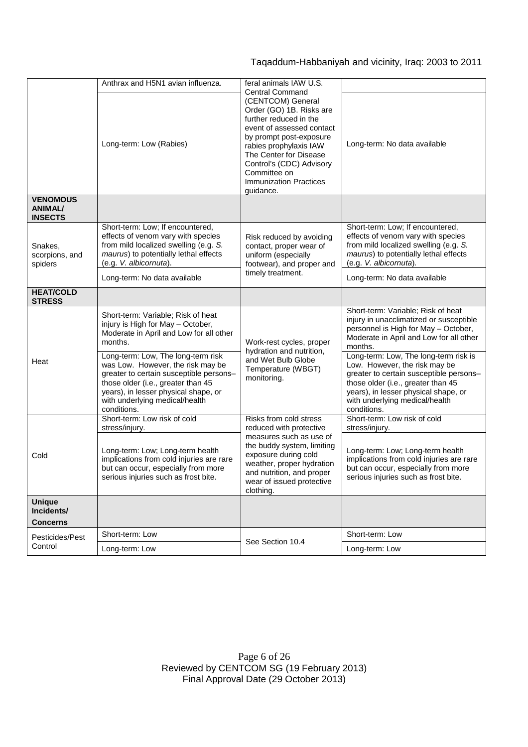## Taqaddum-Habbaniyah and vicinity, Iraq: 2003 to 2011

|                                                     | Anthrax and H5N1 avian influenza.                                                                                                                                                                                                                 | feral animals IAW U.S.<br><b>Central Command</b>                                                                                                                                                                                                                              |                                                                                                                                                                                                                                                  |
|-----------------------------------------------------|---------------------------------------------------------------------------------------------------------------------------------------------------------------------------------------------------------------------------------------------------|-------------------------------------------------------------------------------------------------------------------------------------------------------------------------------------------------------------------------------------------------------------------------------|--------------------------------------------------------------------------------------------------------------------------------------------------------------------------------------------------------------------------------------------------|
|                                                     | Long-term: Low (Rabies)                                                                                                                                                                                                                           | (CENTCOM) General<br>Order (GO) 1B. Risks are<br>further reduced in the<br>event of assessed contact<br>by prompt post-exposure<br>rabies prophylaxis IAW<br>The Center for Disease<br>Control's (CDC) Advisory<br>Committee on<br><b>Immunization Practices</b><br>guidance. | Long-term: No data available                                                                                                                                                                                                                     |
| <b>VENOMOUS</b><br><b>ANIMAL/</b><br><b>INSECTS</b> |                                                                                                                                                                                                                                                   |                                                                                                                                                                                                                                                                               |                                                                                                                                                                                                                                                  |
| Snakes,<br>scorpions, and<br>spiders                | Short-term: Low; If encountered,<br>effects of venom vary with species<br>from mild localized swelling (e.g. S.<br>maurus) to potentially lethal effects<br>(e.g. V. albicornuta).                                                                | Risk reduced by avoiding<br>contact, proper wear of<br>uniform (especially<br>footwear), and proper and<br>timely treatment.                                                                                                                                                  | Short-term: Low; If encountered,<br>effects of venom vary with species<br>from mild localized swelling (e.g. S.<br>maurus) to potentially lethal effects<br>(e.g. V. albicornuta).                                                               |
|                                                     | Long-term: No data available                                                                                                                                                                                                                      |                                                                                                                                                                                                                                                                               | Long-term: No data available                                                                                                                                                                                                                     |
| <b>HEAT/COLD</b><br><b>STRESS</b>                   |                                                                                                                                                                                                                                                   |                                                                                                                                                                                                                                                                               |                                                                                                                                                                                                                                                  |
|                                                     | Short-term: Variable; Risk of heat<br>injury is High for May - October,<br>Moderate in April and Low for all other<br>months.                                                                                                                     | Work-rest cycles, proper<br>hydration and nutrition,<br>and Wet Bulb Globe<br>Temperature (WBGT)<br>monitoring.                                                                                                                                                               | Short-term: Variable; Risk of heat<br>injury in unacclimatized or susceptible<br>personnel is High for May - October,<br>Moderate in April and Low for all other<br>months.                                                                      |
| Heat                                                | Long-term: Low, The long-term risk<br>was Low. However, the risk may be<br>greater to certain susceptible persons-<br>those older (i.e., greater than 45<br>years), in lesser physical shape, or<br>with underlying medical/health<br>conditions. |                                                                                                                                                                                                                                                                               | Long-term: Low, The long-term risk is<br>Low. However, the risk may be<br>greater to certain susceptible persons-<br>those older (i.e., greater than 45<br>years), in lesser physical shape, or<br>with underlying medical/health<br>conditions. |
|                                                     | Short-term: Low risk of cold<br>stress/injury.                                                                                                                                                                                                    | Risks from cold stress<br>reduced with protective<br>measures such as use of<br>the buddy system, limiting<br>exposure during cold<br>weather, proper hydration<br>and nutrition, and proper<br>wear of issued protective<br>clothing.                                        | Short-term: Low risk of cold<br>stress/injury.                                                                                                                                                                                                   |
| Cold                                                | Long-term: Low; Long-term health<br>implications from cold injuries are rare<br>but can occur, especially from more<br>serious injuries such as frost bite.                                                                                       |                                                                                                                                                                                                                                                                               | Long-term: Low; Long-term health<br>implications from cold injuries are rare<br>but can occur, especially from more<br>serious injuries such as frost bite.                                                                                      |
| <b>Unique</b><br>Incidents/<br>Concerns             |                                                                                                                                                                                                                                                   |                                                                                                                                                                                                                                                                               |                                                                                                                                                                                                                                                  |
| Pesticides/Pest                                     | Short-term: Low                                                                                                                                                                                                                                   | See Section 10.4                                                                                                                                                                                                                                                              | Short-term: Low                                                                                                                                                                                                                                  |
| Control                                             | Long-term: Low                                                                                                                                                                                                                                    |                                                                                                                                                                                                                                                                               | Long-term: Low                                                                                                                                                                                                                                   |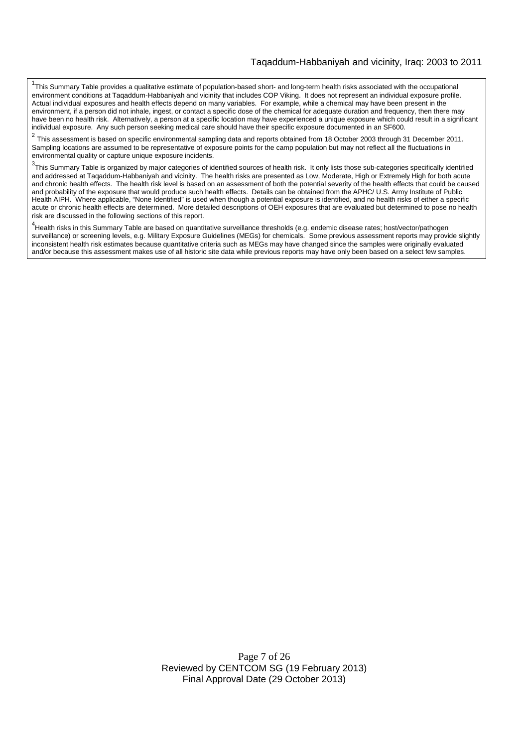<sup>1</sup>This Summary Table provides a qualitative estimate of population-based short- and long-term health risks associated with the occupational environment conditions at Taqaddum-Habbaniyah and vicinity that includes COP Viking. It does not represent an individual exposure profile. Actual individual exposures and health effects depend on many variables. For example, while a chemical may have been present in the environment, if a person did not inhale, ingest, or contact a specific dose of the chemical for adequate duration and frequency, then there may have been no health risk. Alternatively, a person at a specific location may have experienced a unique exposure which could result in a significant individual exposure. Any such person seeking medical care should have their specific exposure documented in an SF600.

2 This assessment is based on specific environmental sampling data and reports obtained from 18 October 2003 through 31 December 2011. Sampling locations are assumed to be representative of exposure points for the camp population but may not reflect all the fluctuations in environmental quality or capture unique exposure incidents.

 $3$ This Summary Table is organized by major categories of identified sources of health risk. It only lists those sub-categories specifically identified and addressed at Taqaddum-Habbaniyah and vicinity. The health risks are presented as Low, Moderate, High or Extremely High for both acute and chronic health effects. The health risk level is based on an assessment of both the potential severity of the health effects that could be caused and probability of the exposure that would produce such health effects. Details can be obtained from the APHC/ U.S. Army Institute of Public Health AIPH. Where applicable, "None Identified" is used when though a potential exposure is identified, and no health risks of either a specific acute or chronic health effects are determined. More detailed descriptions of OEH exposures that are evaluated but determined to pose no health risk are discussed in the following sections of this report.

4 Health risks in this Summary Table are based on quantitative surveillance thresholds (e.g. endemic disease rates; host/vector/pathogen surveillance) or screening levels, e.g. Military Exposure Guidelines (MEGs) for chemicals*.* Some previous assessment reports may provide slightly inconsistent health risk estimates because quantitative criteria such as MEGs may have changed since the samples were originally evaluated and/or because this assessment makes use of all historic site data while previous reports may have only been based on a select few samples.

> Page 7 of 26 Reviewed by CENTCOM SG (19 February 2013) Final Approval Date (29 October 2013)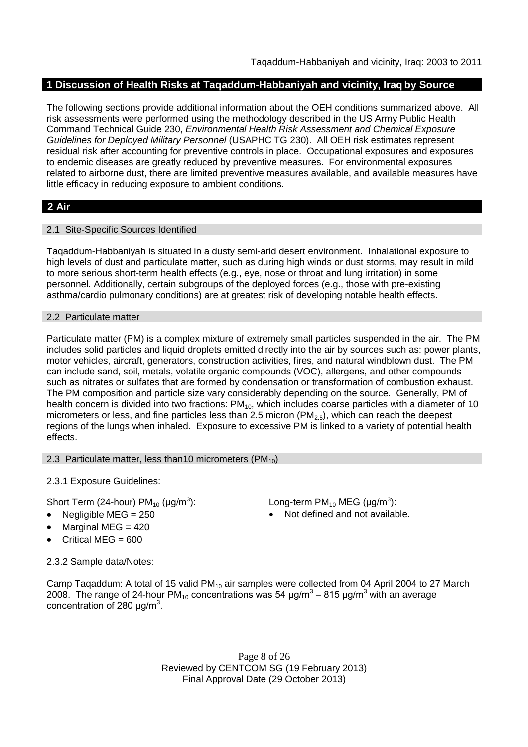## **1 Discussion of Health Risks at Taqaddum-Habbaniyah and vicinity, Iraq by Source**

The following sections provide additional information about the OEH conditions summarized above. All risk assessments were performed using the methodology described in the US Army Public Health Command Technical Guide 230, *Environmental Health Risk Assessment and Chemical Exposure Guidelines for Deployed Military Personnel* (USAPHC TG 230). All OEH risk estimates represent residual risk after accounting for preventive controls in place. Occupational exposures and exposures to endemic diseases are greatly reduced by preventive measures. For environmental exposures related to airborne dust, there are limited preventive measures available, and available measures have little efficacy in reducing exposure to ambient conditions.

## **2 Air**

## 2.1 Site-Specific Sources Identified

Taqaddum-Habbaniyah is situated in a dusty semi-arid desert environment. Inhalational exposure to high levels of dust and particulate matter, such as during high winds or dust storms, may result in mild to more serious short-term health effects (e.g., eye, nose or throat and lung irritation) in some personnel. Additionally, certain subgroups of the deployed forces (e.g., those with pre-existing asthma/cardio pulmonary conditions) are at greatest risk of developing notable health effects.

## 2.2 Particulate matter

Particulate matter (PM) is a complex mixture of extremely small particles suspended in the air. The PM includes solid particles and liquid droplets emitted directly into the air by sources such as: power plants, motor vehicles, aircraft, generators, construction activities, fires, and natural windblown dust. The PM can include sand, soil, metals, volatile organic compounds (VOC), allergens, and other compounds such as nitrates or sulfates that are formed by condensation or transformation of combustion exhaust. The PM composition and particle size vary considerably depending on the source. Generally, PM of health concern is divided into two fractions:  $PM_{10}$ , which includes coarse particles with a diameter of 10 micrometers or less, and fine particles less than 2.5 micron ( $PM_{2.5}$ ), which can reach the deepest regions of the lungs when inhaled. Exposure to excessive PM is linked to a variety of potential health effects.

#### 2.3 Particulate matter, less than10 micrometers  $(PM_{10})$

2.3.1 Exposure Guidelines:

Short Term (24-hour) PM $_{10}$  (µg/m $^3$ 

- 
- Marginal MEG  $=$  420
- Critical MEG =  $600$

2.3.2 Sample data/Notes:

Camp Taqaddum: A total of 15 valid PM<sub>10</sub> air samples were collected from 04 April 2004 to 27 March 2008. The range of 24-hour PM<sub>10</sub> concentrations was 54 μg/m<sup>3</sup> – 815 μg/m<sup>3</sup> with an average concentration of 280  $\mu$ g/m<sup>3</sup>.

> Page 8 of 26 Reviewed by CENTCOM SG (19 February 2013) Final Approval Date (29 October 2013)

): Long-term PM<sub>10</sub> MEG ( $\mu$ g/m<sup>3</sup>):

• Negligible MEG = 250 **a** Not defined and not available.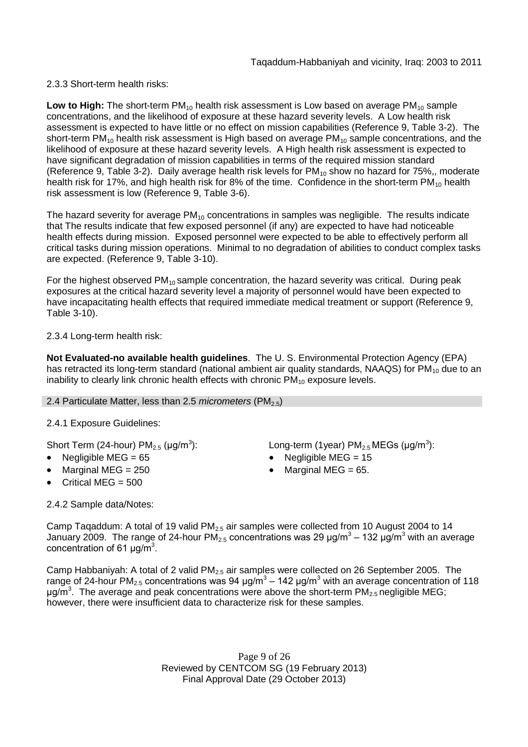2.3.3 Short-term health risks:

Low to High: The short-term PM<sub>10</sub> health risk assessment is Low based on average PM<sub>10</sub> sample concentrations, and the likelihood of exposure at these hazard severity levels. A Low health risk assessment is expected to have little or no effect on mission capabilities (Reference 9, Table 3-2). The short-term  $PM_{10}$  health risk assessment is High based on average  $PM_{10}$  sample concentrations, and the likelihood of exposure at these hazard severity levels. A High health risk assessment is expected to have significant degradation of mission capabilities in terms of the required mission standard (Reference 9, Table 3-2). Daily average health risk levels for  $PM_{10}$  show no hazard for 75%, moderate health risk for 17%, and high health risk for 8% of the time. Confidence in the short-term  $PM_{10}$  health risk assessment is low (Reference 9, Table 3-6).

The hazard severity for average  $PM_{10}$  concentrations in samples was negligible. The results indicate that The results indicate that few exposed personnel (if any) are expected to have had noticeable health effects during mission. Exposed personnel were expected to be able to effectively perform all critical tasks during mission operations. Minimal to no degradation of abilities to conduct complex tasks are expected. (Reference 9, Table 3-10).

For the highest observed  $PM_{10}$  sample concentration, the hazard severity was critical. During peak exposures at the critical hazard severity level a majority of personnel would have been expected to have incapacitating health effects that required immediate medical treatment or support (Reference 9, Table 3-10).

2.3.4 Long-term health risk:

**Not Evaluated-no available health guidelines**. The U. S. Environmental Protection Agency (EPA) has retracted its long-term standard (national ambient air quality standards, NAAQS) for  $PM<sub>10</sub>$  due to an inability to clearly link chronic health effects with chronic  $PM_{10}$  exposure levels.

## 2.4 Particulate Matter, less than 2.5 *micrometers* (PM<sub>2.5</sub>)

2.4.1 Exposure Guidelines:

Short Term (24-hour) PM $_{2.5}$  (µg/m $^3$ 

- 
- 
- Critical MEG  $= 500$

): Long-term (1year)  $PM_{2.5}$ MEGs (µg/m<sup>3</sup>):

- Negligible MEG = 65 Negligible MEG = 15
- Marginal MEG =  $250$   $\bullet$  Marginal MEG =  $65$ .

2.4.2 Sample data/Notes:

Camp Taqaddum: A total of 19 valid  $PM<sub>2.5</sub>$  air samples were collected from 10 August 2004 to 14 January 2009. The range of 24-hour PM<sub>2.5</sub> concentrations was 29  $\mu$ g/m<sup>3</sup> – 132  $\mu$ g/m<sup>3</sup> with an average concentration of 61  $\mu$ g/m<sup>3</sup>.

Camp Habbaniyah: A total of 2 valid  $PM_{2.5}$  air samples were collected on 26 September 2005. The range of 24-hour PM<sub>2.5</sub> concentrations was 94 μg/m<sup>3</sup> – 142 μg/m<sup>3</sup> with an average concentration of 118  $\mu$ g/m<sup>3</sup>. The average and peak concentrations were above the short-term PM<sub>2.5</sub> negligible MEG; however, there were insufficient data to characterize risk for these samples.

> Page 9 of 26 Reviewed by CENTCOM SG (19 February 2013) Final Approval Date (29 October 2013)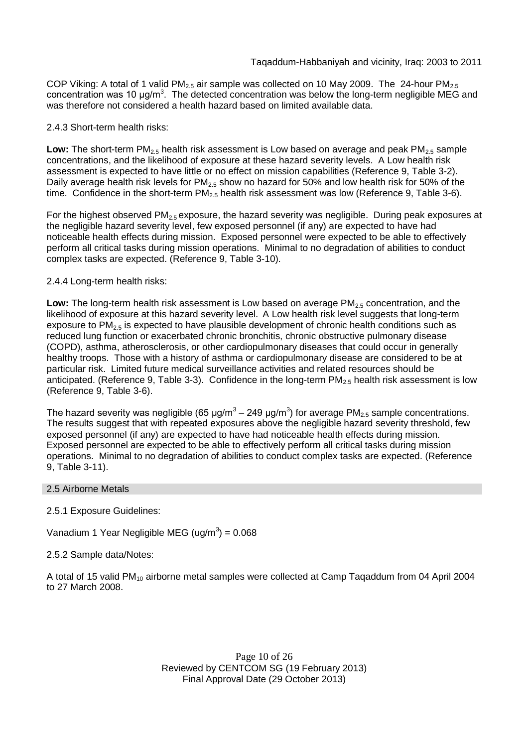COP Viking: A total of 1 valid PM<sub>2.5</sub> air sample was collected on 10 May 2009. The 24-hour PM<sub>2.5</sub> concentration was 10 μg/m<sup>3</sup>. The detected concentration was below the long-term negligible MEG and was therefore not considered a health hazard based on limited available data.

## 2.4.3 Short-term health risks:

**Low:** The short-term  $PM_{2.5}$  health risk assessment is Low based on average and peak  $PM_{2.5}$  sample concentrations, and the likelihood of exposure at these hazard severity levels. A Low health risk assessment is expected to have little or no effect on mission capabilities (Reference 9, Table 3-2). Daily average health risk levels for  $PM_{2.5}$  show no hazard for 50% and low health risk for 50% of the time. Confidence in the short-term  $PM<sub>2.5</sub>$  health risk assessment was low (Reference 9, Table 3-6).

For the highest observed  $PM_{2.5}$  exposure, the hazard severity was negligible. During peak exposures at the negligible hazard severity level, few exposed personnel (if any) are expected to have had noticeable health effects during mission. Exposed personnel were expected to be able to effectively perform all critical tasks during mission operations. Minimal to no degradation of abilities to conduct complex tasks are expected. (Reference 9, Table 3-10).

## 2.4.4 Long-term health risks:

Low: The long-term health risk assessment is Low based on average PM<sub>2.5</sub> concentration, and the likelihood of exposure at this hazard severity level. A Low health risk level suggests that long-term exposure to  $PM_{2.5}$  is expected to have plausible development of chronic health conditions such as reduced lung function or exacerbated chronic bronchitis, chronic obstructive pulmonary disease (COPD), asthma, atherosclerosis, or other cardiopulmonary diseases that could occur in generally healthy troops. Those with a history of asthma or cardiopulmonary disease are considered to be at particular risk. Limited future medical surveillance activities and related resources should be anticipated. (Reference 9, Table 3-3). Confidence in the long-term  $PM_{2.5}$  health risk assessment is low (Reference 9, Table 3-6).

The hazard severity was negligible (65 µg/m<sup>3</sup> – 249 µg/m<sup>3</sup>) for average PM<sub>2.5</sub> sample concentrations. The results suggest that with repeated exposures above the negligible hazard severity threshold, few exposed personnel (if any) are expected to have had noticeable health effects during mission. Exposed personnel are expected to be able to effectively perform all critical tasks during mission operations. Minimal to no degradation of abilities to conduct complex tasks are expected. (Reference 9, Table 3-11).

## 2.5 Airborne Metals

- 2.5.1 Exposure Guidelines:
- Vanadium 1 Year Negligible MEG (ug/m $3$ ) = 0.068

## 2.5.2 Sample data/Notes:

A total of 15 valid PM<sub>10</sub> airborne metal samples were collected at Camp Taqaddum from 04 April 2004 to 27 March 2008.

> Page 10 of 26 Reviewed by CENTCOM SG (19 February 2013) Final Approval Date (29 October 2013)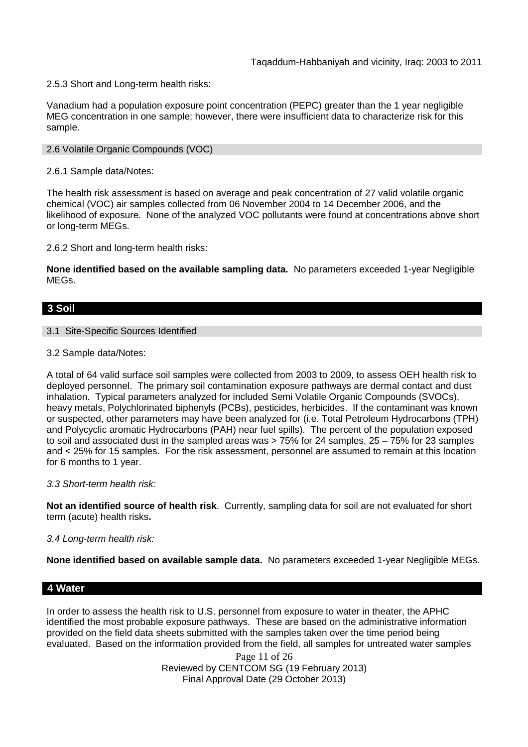2.5.3 Short and Long-term health risks:

Vanadium had a population exposure point concentration (PEPC) greater than the 1 year negligible MEG concentration in one sample; however, there were insufficient data to characterize risk for this sample.

#### 2.6 Volatile Organic Compounds (VOC)

2.6.1 Sample data/Notes:

The health risk assessment is based on average and peak concentration of 27 valid volatile organic chemical (VOC) air samples collected from 06 November 2004 to 14 December 2006, and the likelihood of exposure. None of the analyzed VOC pollutants were found at concentrations above short or long-term MEGs.

2.6.2 Short and long-term health risks:

**None identified based on the available sampling data.** No parameters exceeded 1-year Negligible MEGs.

## **3 Soil**

#### 3.1 Site-Specific Sources Identified

3.2 Sample data/Notes:

A total of 64 valid surface soil samples were collected from 2003 to 2009, to assess OEH health risk to deployed personnel. The primary soil contamination exposure pathways are dermal contact and dust inhalation. Typical parameters analyzed for included Semi Volatile Organic Compounds (SVOCs), heavy metals, Polychlorinated biphenyls (PCBs), pesticides, herbicides. If the contaminant was known or suspected, other parameters may have been analyzed for (i.e. Total Petroleum Hydrocarbons (TPH) and Polycyclic aromatic Hydrocarbons (PAH) near fuel spills). The percent of the population exposed to soil and associated dust in the sampled areas was > 75% for 24 samples, 25 – 75% for 23 samples and < 25% for 15 samples. For the risk assessment, personnel are assumed to remain at this location for 6 months to 1 year.

#### *3.3 Short-term health risk:*

**Not an identified source of health risk**. Currently, sampling data for soil are not evaluated for short term (acute) health risks**.**

#### *3.4 Long-term health risk:*

**None identified based on available sample data.** No parameters exceeded 1-year Negligible MEGs.

#### **4 Water**

In order to assess the health risk to U.S. personnel from exposure to water in theater, the APHC identified the most probable exposure pathways. These are based on the administrative information provided on the field data sheets submitted with the samples taken over the time period being evaluated. Based on the information provided from the field, all samples for untreated water samples

> Page 11 of 26 Reviewed by CENTCOM SG (19 February 2013) Final Approval Date (29 October 2013)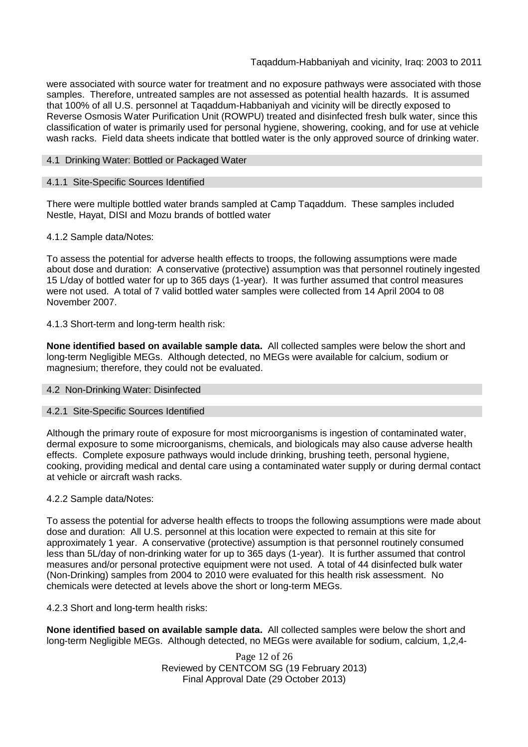were associated with source water for treatment and no exposure pathways were associated with those samples. Therefore, untreated samples are not assessed as potential health hazards. It is assumed that 100% of all U.S. personnel at Taqaddum-Habbaniyah and vicinity will be directly exposed to Reverse Osmosis Water Purification Unit (ROWPU) treated and disinfected fresh bulk water, since this classification of water is primarily used for personal hygiene, showering, cooking, and for use at vehicle wash racks. Field data sheets indicate that bottled water is the only approved source of drinking water.

### 4.1 Drinking Water: Bottled or Packaged Water

## 4.1.1 Site-Specific Sources Identified

There were multiple bottled water brands sampled at Camp Taqaddum. These samples included Nestle, Hayat, DISI and Mozu brands of bottled water

## 4.1.2 Sample data/Notes:

To assess the potential for adverse health effects to troops, the following assumptions were made about dose and duration: A conservative (protective) assumption was that personnel routinely ingested 15 L/day of bottled water for up to 365 days (1-year). It was further assumed that control measures were not used. A total of 7 valid bottled water samples were collected from 14 April 2004 to 08 November 2007.

## 4.1.3 Short-term and long-term health risk:

**None identified based on available sample data.** All collected samples were below the short and long-term Negligible MEGs. Although detected, no MEGs were available for calcium, sodium or magnesium; therefore, they could not be evaluated.

#### 4.2 Non-Drinking Water: Disinfected

#### 4.2.1 Site-Specific Sources Identified

Although the primary route of exposure for most microorganisms is ingestion of contaminated water, dermal exposure to some microorganisms, chemicals, and biologicals may also cause adverse health effects. Complete exposure pathways would include drinking, brushing teeth, personal hygiene, cooking, providing medical and dental care using a contaminated water supply or during dermal contact at vehicle or aircraft wash racks.

#### 4.2.2 Sample data/Notes:

To assess the potential for adverse health effects to troops the following assumptions were made about dose and duration: All U.S. personnel at this location were expected to remain at this site for approximately 1 year. A conservative (protective) assumption is that personnel routinely consumed less than 5L/day of non-drinking water for up to 365 days (1-year). It is further assumed that control measures and/or personal protective equipment were not used. A total of 44 disinfected bulk water (Non-Drinking) samples from 2004 to 2010 were evaluated for this health risk assessment. No chemicals were detected at levels above the short or long-term MEGs.

#### 4.2.3 Short and long-term health risks:

**None identified based on available sample data.** All collected samples were below the short and long-term Negligible MEGs. Although detected, no MEGs were available for sodium, calcium, 1,2,4-

> Page 12 of 26 Reviewed by CENTCOM SG (19 February 2013) Final Approval Date (29 October 2013)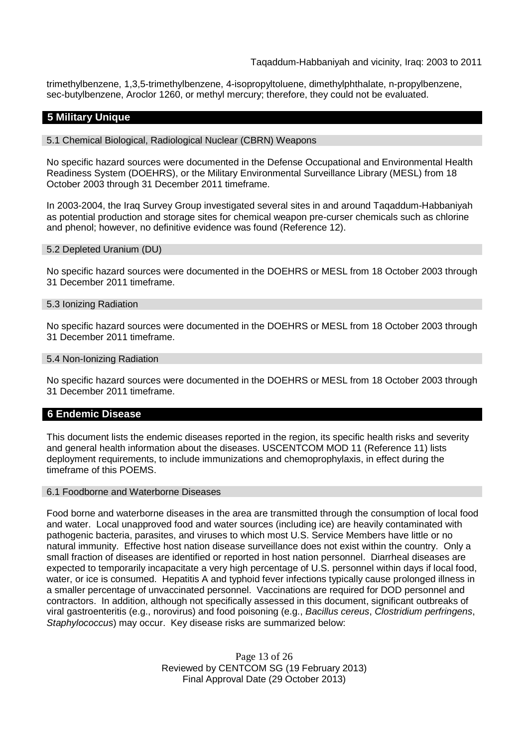trimethylbenzene, 1,3,5-trimethylbenzene, 4-isopropyltoluene, dimethylphthalate, n-propylbenzene, sec-butylbenzene, Aroclor 1260, or methyl mercury; therefore, they could not be evaluated.

## **5 Military Unique**

5.1 Chemical Biological, Radiological Nuclear (CBRN) Weapons

No specific hazard sources were documented in the Defense Occupational and Environmental Health Readiness System (DOEHRS), or the Military Environmental Surveillance Library (MESL) from 18 October 2003 through 31 December 2011 timeframe.

In 2003-2004, the Iraq Survey Group investigated several sites in and around Taqaddum-Habbaniyah as potential production and storage sites for chemical weapon pre-curser chemicals such as chlorine and phenol; however, no definitive evidence was found (Reference 12).

#### 5.2 Depleted Uranium (DU)

No specific hazard sources were documented in the DOEHRS or MESL from 18 October 2003 through 31 December 2011 timeframe.

#### 5.3 Ionizing Radiation

No specific hazard sources were documented in the DOEHRS or MESL from 18 October 2003 through 31 December 2011 timeframe.

#### 5.4 Non-Ionizing Radiation

No specific hazard sources were documented in the DOEHRS or MESL from 18 October 2003 through 31 December 2011 timeframe.

#### **6 Endemic Disease**

This document lists the endemic diseases reported in the region, its specific health risks and severity and general health information about the diseases. USCENTCOM MOD 11 (Reference 11) lists deployment requirements, to include immunizations and chemoprophylaxis, in effect during the timeframe of this POEMS.

#### 6.1 Foodborne and Waterborne Diseases

Food borne and waterborne diseases in the area are transmitted through the consumption of local food and water. Local unapproved food and water sources (including ice) are heavily contaminated with pathogenic bacteria, parasites, and viruses to which most U.S. Service Members have little or no natural immunity. Effective host nation disease surveillance does not exist within the country. Only a small fraction of diseases are identified or reported in host nation personnel. Diarrheal diseases are expected to temporarily incapacitate a very high percentage of U.S. personnel within days if local food, water, or ice is consumed. Hepatitis A and typhoid fever infections typically cause prolonged illness in a smaller percentage of unvaccinated personnel. Vaccinations are required for DOD personnel and contractors. In addition, although not specifically assessed in this document, significant outbreaks of viral gastroenteritis (e.g., norovirus) and food poisoning (e.g., *Bacillus cereus*, *Clostridium perfringens*, *Staphylococcus*) may occur. Key disease risks are summarized below:

> Page 13 of 26 Reviewed by CENTCOM SG (19 February 2013) Final Approval Date (29 October 2013)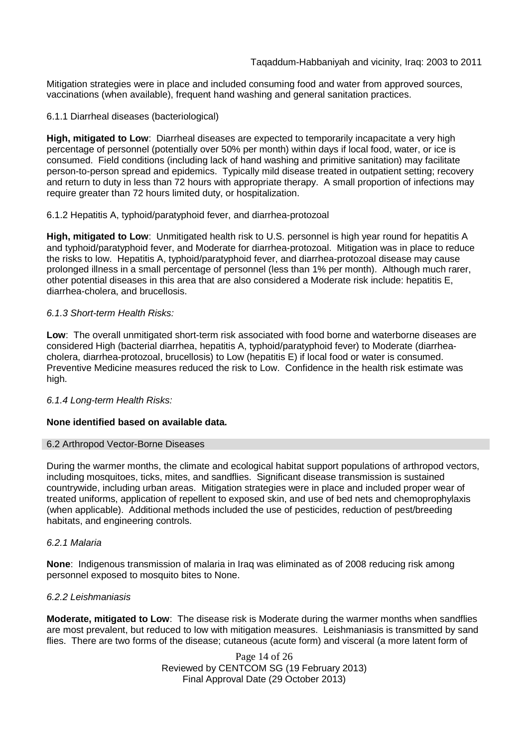Mitigation strategies were in place and included consuming food and water from approved sources, vaccinations (when available), frequent hand washing and general sanitation practices.

### 6.1.1 Diarrheal diseases (bacteriological)

**High, mitigated to Low**: Diarrheal diseases are expected to temporarily incapacitate a very high percentage of personnel (potentially over 50% per month) within days if local food, water, or ice is consumed. Field conditions (including lack of hand washing and primitive sanitation) may facilitate person-to-person spread and epidemics. Typically mild disease treated in outpatient setting; recovery and return to duty in less than 72 hours with appropriate therapy. A small proportion of infections may require greater than 72 hours limited duty, or hospitalization.

## 6.1.2 Hepatitis A, typhoid/paratyphoid fever, and diarrhea-protozoal

**High, mitigated to Low**: Unmitigated health risk to U.S. personnel is high year round for hepatitis A and typhoid/paratyphoid fever, and Moderate for diarrhea-protozoal. Mitigation was in place to reduce the risks to low. Hepatitis A, typhoid/paratyphoid fever, and diarrhea-protozoal disease may cause prolonged illness in a small percentage of personnel (less than 1% per month). Although much rarer, other potential diseases in this area that are also considered a Moderate risk include: hepatitis E, diarrhea-cholera, and brucellosis.

## *6.1.3 Short-term Health Risks:*

**Low**: The overall unmitigated short-term risk associated with food borne and waterborne diseases are considered High (bacterial diarrhea, hepatitis A, typhoid/paratyphoid fever) to Moderate (diarrheacholera, diarrhea-protozoal, brucellosis) to Low (hepatitis E) if local food or water is consumed. Preventive Medicine measures reduced the risk to Low. Confidence in the health risk estimate was high.

#### *6.1.4 Long-term Health Risks:*

## **None identified based on available data.**

#### 6.2 Arthropod Vector-Borne Diseases

During the warmer months, the climate and ecological habitat support populations of arthropod vectors, including mosquitoes, ticks, mites, and sandflies. Significant disease transmission is sustained countrywide, including urban areas. Mitigation strategies were in place and included proper wear of treated uniforms, application of repellent to exposed skin, and use of bed nets and chemoprophylaxis (when applicable). Additional methods included the use of pesticides, reduction of pest/breeding habitats, and engineering controls.

#### *6.2.1 Malaria*

**None**: Indigenous transmission of malaria in Iraq was eliminated as of 2008 reducing risk among personnel exposed to mosquito bites to None.

#### *6.2.2 Leishmaniasis*

**Moderate, mitigated to Low**: The disease risk is Moderate during the warmer months when sandflies are most prevalent, but reduced to low with mitigation measures. Leishmaniasis is transmitted by sand flies. There are two forms of the disease; cutaneous (acute form) and visceral (a more latent form of

> Page 14 of 26 Reviewed by CENTCOM SG (19 February 2013) Final Approval Date (29 October 2013)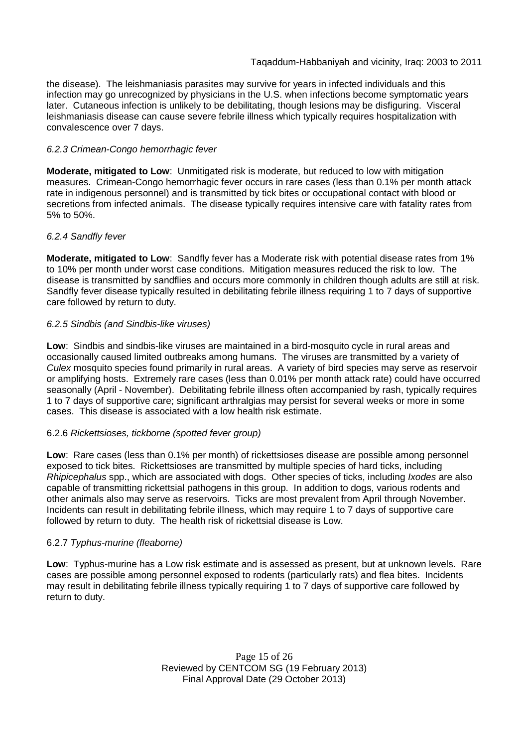the disease). The leishmaniasis parasites may survive for years in infected individuals and this infection may go unrecognized by physicians in the U.S. when infections become symptomatic years later. Cutaneous infection is unlikely to be debilitating, though lesions may be disfiguring. Visceral leishmaniasis disease can cause severe febrile illness which typically requires hospitalization with convalescence over 7 days.

## *6.2.3 Crimean-Congo hemorrhagic fever*

**Moderate, mitigated to Low**: Unmitigated risk is moderate, but reduced to low with mitigation measures. Crimean-Congo hemorrhagic fever occurs in rare cases (less than 0.1% per month attack rate in indigenous personnel) and is transmitted by tick bites or occupational contact with blood or secretions from infected animals. The disease typically requires intensive care with fatality rates from 5% to 50%.

## *6.2.4 Sandfly fever*

**Moderate, mitigated to Low**: Sandfly fever has a Moderate risk with potential disease rates from 1% to 10% per month under worst case conditions. Mitigation measures reduced the risk to low. The disease is transmitted by sandflies and occurs more commonly in children though adults are still at risk. Sandfly fever disease typically resulted in debilitating febrile illness requiring 1 to 7 days of supportive care followed by return to duty.

## *6.2.5 Sindbis (and Sindbis-like viruses)*

**Low**: Sindbis and sindbis-like viruses are maintained in a bird-mosquito cycle in rural areas and occasionally caused limited outbreaks among humans. The viruses are transmitted by a variety of *Culex* mosquito species found primarily in rural areas. A variety of bird species may serve as reservoir or amplifying hosts. Extremely rare cases (less than 0.01% per month attack rate) could have occurred seasonally (April - November). Debilitating febrile illness often accompanied by rash, typically requires 1 to 7 days of supportive care; significant arthralgias may persist for several weeks or more in some cases. This disease is associated with a low health risk estimate.

## 6.2.6 *Rickettsioses, tickborne (spotted fever group)*

**Low**: Rare cases (less than 0.1% per month) of rickettsioses disease are possible among personnel exposed to tick bites. Rickettsioses are transmitted by multiple species of hard ticks, including *Rhipicephalus* spp., which are associated with dogs. Other species of ticks, including *Ixodes* are also capable of transmitting rickettsial pathogens in this group. In addition to dogs, various rodents and other animals also may serve as reservoirs. Ticks are most prevalent from April through November. Incidents can result in debilitating febrile illness, which may require 1 to 7 days of supportive care followed by return to duty. The health risk of rickettsial disease is Low.

#### 6.2.7 *Typhus-murine (fleaborne)*

**Low**: Typhus-murine has a Low risk estimate and is assessed as present, but at unknown levels. Rare cases are possible among personnel exposed to rodents (particularly rats) and flea bites. Incidents may result in debilitating febrile illness typically requiring 1 to 7 days of supportive care followed by return to duty.

> Page 15 of 26 Reviewed by CENTCOM SG (19 February 2013) Final Approval Date (29 October 2013)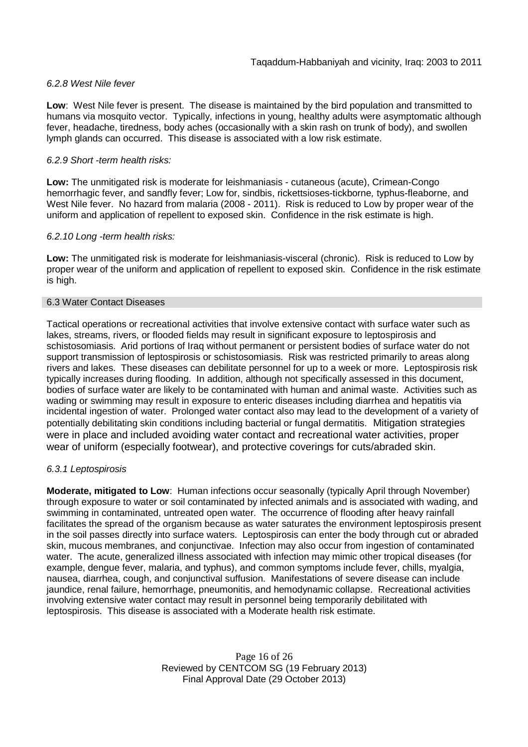## *6.2.8 West Nile fever*

**Low**: West Nile fever is present. The disease is maintained by the bird population and transmitted to humans via mosquito vector. Typically, infections in young, healthy adults were asymptomatic although fever, headache, tiredness, body aches (occasionally with a skin rash on trunk of body), and swollen lymph glands can occurred. This disease is associated with a low risk estimate.

### *6.2.9 Short -term health risks:*

**Low:** The unmitigated risk is moderate for leishmaniasis - cutaneous (acute), Crimean-Congo hemorrhagic fever, and sandfly fever; Low for, sindbis, rickettsioses-tickborne*,* typhus-fleaborne, and West Nile fever. No hazard from malaria (2008 - 2011). Risk is reduced to Low by proper wear of the uniform and application of repellent to exposed skin. Confidence in the risk estimate is high.

## *6.2.10 Long -term health risks:*

**Low:** The unmitigated risk is moderate for leishmaniasis-visceral (chronic). Risk is reduced to Low by proper wear of the uniform and application of repellent to exposed skin. Confidence in the risk estimate is high.

#### 6.3 Water Contact Diseases

Tactical operations or recreational activities that involve extensive contact with surface water such as lakes, streams, rivers, or flooded fields may result in significant exposure to leptospirosis and schistosomiasis. Arid portions of Iraq without permanent or persistent bodies of surface water do not support transmission of leptospirosis or schistosomiasis. Risk was restricted primarily to areas along rivers and lakes. These diseases can debilitate personnel for up to a week or more. Leptospirosis risk typically increases during flooding. In addition, although not specifically assessed in this document, bodies of surface water are likely to be contaminated with human and animal waste. Activities such as wading or swimming may result in exposure to enteric diseases including diarrhea and hepatitis via incidental ingestion of water. Prolonged water contact also may lead to the development of a variety of potentially debilitating skin conditions including bacterial or fungal dermatitis. Mitigation strategies were in place and included avoiding water contact and recreational water activities, proper wear of uniform (especially footwear), and protective coverings for cuts/abraded skin.

#### *6.3.1 Leptospirosis*

**Moderate, mitigated to Low**: Human infections occur seasonally (typically April through November) through exposure to water or soil contaminated by infected animals and is associated with wading, and swimming in contaminated, untreated open water. The occurrence of flooding after heavy rainfall facilitates the spread of the organism because as water saturates the environment leptospirosis present in the soil passes directly into surface waters. Leptospirosis can enter the body through cut or abraded skin, mucous membranes, and conjunctivae. Infection may also occur from ingestion of contaminated water. The acute, generalized illness associated with infection may mimic other tropical diseases (for example, dengue fever, malaria, and typhus), and common symptoms include fever, chills, myalgia, nausea, diarrhea, cough, and conjunctival suffusion. Manifestations of severe disease can include jaundice, renal failure, hemorrhage, pneumonitis, and hemodynamic collapse. Recreational activities involving extensive water contact may result in personnel being temporarily debilitated with leptospirosis. This disease is associated with a Moderate health risk estimate.

> Page 16 of 26 Reviewed by CENTCOM SG (19 February 2013) Final Approval Date (29 October 2013)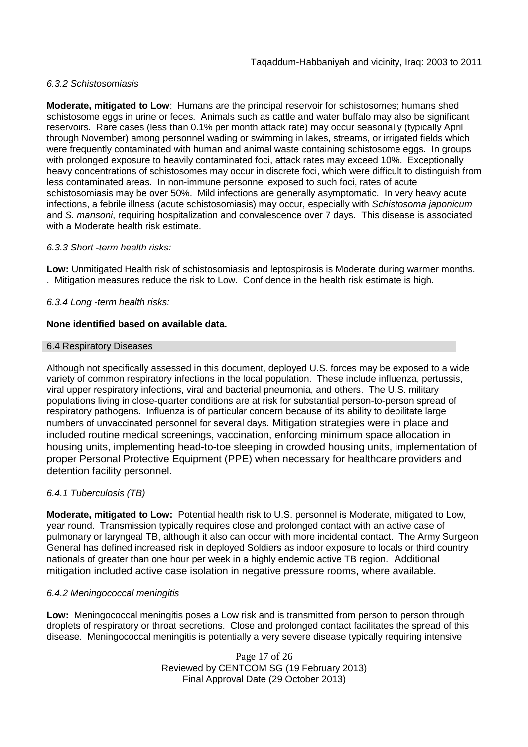## *6.3.2 Schistosomiasis*

**Moderate, mitigated to Low**: Humans are the principal reservoir for schistosomes; humans shed schistosome eggs in urine or feces. Animals such as cattle and water buffalo may also be significant reservoirs. Rare cases (less than 0.1% per month attack rate) may occur seasonally (typically April through November) among personnel wading or swimming in lakes, streams, or irrigated fields which were frequently contaminated with human and animal waste containing schistosome eggs. In groups with prolonged exposure to heavily contaminated foci, attack rates may exceed 10%. Exceptionally heavy concentrations of schistosomes may occur in discrete foci, which were difficult to distinguish from less contaminated areas. In non-immune personnel exposed to such foci, rates of acute schistosomiasis may be over 50%. Mild infections are generally asymptomatic. In very heavy acute infections, a febrile illness (acute schistosomiasis) may occur, especially with *Schistosoma japonicum* and *S. mansoni*, requiring hospitalization and convalescence over 7 days. This disease is associated with a Moderate health risk estimate.

## *6.3.3 Short -term health risks:*

**Low:** Unmitigated Health risk of schistosomiasis and leptospirosis is Moderate during warmer months. . Mitigation measures reduce the risk to Low. Confidence in the health risk estimate is high.

## *6.3.4 Long -term health risks:*

## **None identified based on available data.**

#### 6.4 Respiratory Diseases

Although not specifically assessed in this document, deployed U.S. forces may be exposed to a wide variety of common respiratory infections in the local population. These include influenza, pertussis, viral upper respiratory infections, viral and bacterial pneumonia, and others. The U.S. military populations living in close-quarter conditions are at risk for substantial person-to-person spread of respiratory pathogens. Influenza is of particular concern because of its ability to debilitate large numbers of unvaccinated personnel for several days. Mitigation strategies were in place and included routine medical screenings, vaccination, enforcing minimum space allocation in housing units, implementing head-to-toe sleeping in crowded housing units, implementation of proper Personal Protective Equipment (PPE) when necessary for healthcare providers and detention facility personnel.

#### *6.4.1 Tuberculosis (TB)*

**Moderate, mitigated to Low:** Potential health risk to U.S. personnel is Moderate, mitigated to Low, year round. Transmission typically requires close and prolonged contact with an active case of pulmonary or laryngeal TB, although it also can occur with more incidental contact. The Army Surgeon General has defined increased risk in deployed Soldiers as indoor exposure to locals or third country nationals of greater than one hour per week in a highly endemic active TB region. Additional mitigation included active case isolation in negative pressure rooms, where available.

#### *6.4.2 Meningococcal meningitis*

**Low:** Meningococcal meningitis poses a Low risk and is transmitted from person to person through droplets of respiratory or throat secretions. Close and prolonged contact facilitates the spread of this disease. Meningococcal meningitis is potentially a very severe disease typically requiring intensive

> Page 17 of 26 Reviewed by CENTCOM SG (19 February 2013) Final Approval Date (29 October 2013)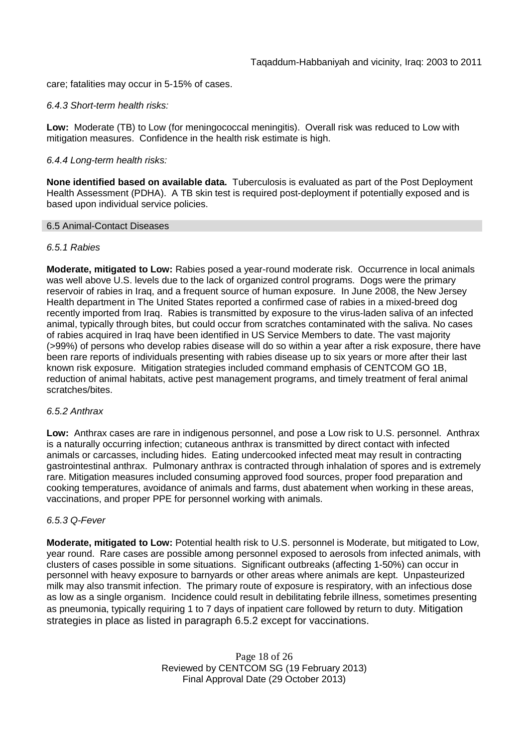care; fatalities may occur in 5-15% of cases.

### *6.4.3 Short-term health risks:*

**Low:** Moderate (TB) to Low (for meningococcal meningitis). Overall risk was reduced to Low with mitigation measures. Confidence in the health risk estimate is high.

## *6.4.4 Long-term health risks:*

**None identified based on available data.** Tuberculosis is evaluated as part of the Post Deployment Health Assessment (PDHA). A TB skin test is required post-deployment if potentially exposed and is based upon individual service policies.

#### 6.5 Animal-Contact Diseases

## *6.5.1 Rabies*

**Moderate, mitigated to Low:** Rabies posed a year-round moderate risk. Occurrence in local animals was well above U.S. levels due to the lack of organized control programs. Dogs were the primary reservoir of rabies in Iraq, and a frequent source of human exposure. In June 2008, the New Jersey Health department in The United States reported a confirmed case of rabies in a mixed-breed dog recently imported from Iraq. Rabies is transmitted by exposure to the virus-laden saliva of an infected animal, typically through bites, but could occur from scratches contaminated with the saliva. No cases of rabies acquired in Iraq have been identified in US Service Members to date. The vast majority (>99%) of persons who develop rabies disease will do so within a year after a risk exposure, there have been rare reports of individuals presenting with rabies disease up to six years or more after their last known risk exposure. Mitigation strategies included command emphasis of CENTCOM GO 1B, reduction of animal habitats, active pest management programs, and timely treatment of feral animal scratches/bites.

#### *6.5.2 Anthrax*

**Low:** Anthrax cases are rare in indigenous personnel, and pose a Low risk to U.S. personnel. Anthrax is a naturally occurring infection; cutaneous anthrax is transmitted by direct contact with infected animals or carcasses, including hides. Eating undercooked infected meat may result in contracting gastrointestinal anthrax. Pulmonary anthrax is contracted through inhalation of spores and is extremely rare. Mitigation measures included consuming approved food sources, proper food preparation and cooking temperatures, avoidance of animals and farms, dust abatement when working in these areas, vaccinations, and proper PPE for personnel working with animals.

#### *6.5.3 Q-Fever*

**Moderate, mitigated to Low:** Potential health risk to U.S. personnel is Moderate, but mitigated to Low, year round. Rare cases are possible among personnel exposed to aerosols from infected animals, with clusters of cases possible in some situations. Significant outbreaks (affecting 1-50%) can occur in personnel with heavy exposure to barnyards or other areas where animals are kept. Unpasteurized milk may also transmit infection. The primary route of exposure is respiratory, with an infectious dose as low as a single organism. Incidence could result in debilitating febrile illness, sometimes presenting as pneumonia, typically requiring 1 to 7 days of inpatient care followed by return to duty. Mitigation strategies in place as listed in paragraph 6.5.2 except for vaccinations.

> Page 18 of 26 Reviewed by CENTCOM SG (19 February 2013) Final Approval Date (29 October 2013)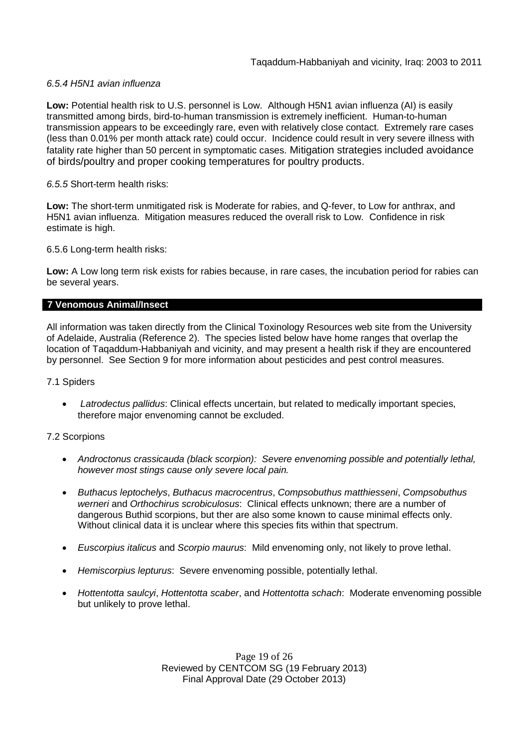## *6.5.4 H5N1 avian influenza*

**Low:** Potential health risk to U.S. personnel is Low. Although H5N1 avian influenza (AI) is easily transmitted among birds, bird-to-human transmission is extremely inefficient. Human-to-human transmission appears to be exceedingly rare, even with relatively close contact. Extremely rare cases (less than 0.01% per month attack rate) could occur. Incidence could result in very severe illness with fatality rate higher than 50 percent in symptomatic cases. Mitigation strategies included avoidance of birds/poultry and proper cooking temperatures for poultry products.

## *6.5.5* Short-term health risks:

**Low:** The short-term unmitigated risk is Moderate for rabies, and Q-fever, to Low for anthrax, and H5N1 avian influenza. Mitigation measures reduced the overall risk to Low. Confidence in risk estimate is high.

6.5.6 Long-term health risks:

**Low:** A Low long term risk exists for rabies because, in rare cases, the incubation period for rabies can be several years.

## **7 Venomous Animal/Insect**

All information was taken directly from the Clinical Toxinology Resources web site from the University of Adelaide, Australia (Reference 2). The species listed below have home ranges that overlap the location of Taqaddum-Habbaniyah and vicinity, and may present a health risk if they are encountered by personnel. See Section 9 for more information about pesticides and pest control measures.

#### 7.1 Spiders

 *Latrodectus pallidus*: Clinical effects uncertain, but related to medically important species, therefore major envenoming cannot be excluded.

#### 7.2 Scorpions

- *Androctonus crassicauda (black scorpion): Severe envenoming possible and potentially lethal, however most stings cause only severe local pain.*
- *Buthacus leptochelys*, *Buthacus macrocentrus*, *Compsobuthus matthiesseni*, *Compsobuthus werneri* and *Orthochirus scrobiculosus*: Clinical effects unknown; there are a number of dangerous Buthid scorpions, but ther are also some known to cause minimal effects only. Without clinical data it is unclear where this species fits within that spectrum.
- *Euscorpius italicus* and *Scorpio maurus*: Mild envenoming only, not likely to prove lethal.
- *Hemiscorpius lepturus*: Severe envenoming possible, potentially lethal.
- *Hottentotta saulcyi*, *Hottentotta scaber*, and *Hottentotta schach*: Moderate envenoming possible but unlikely to prove lethal.

Page 19 of 26 Reviewed by CENTCOM SG (19 February 2013) Final Approval Date (29 October 2013)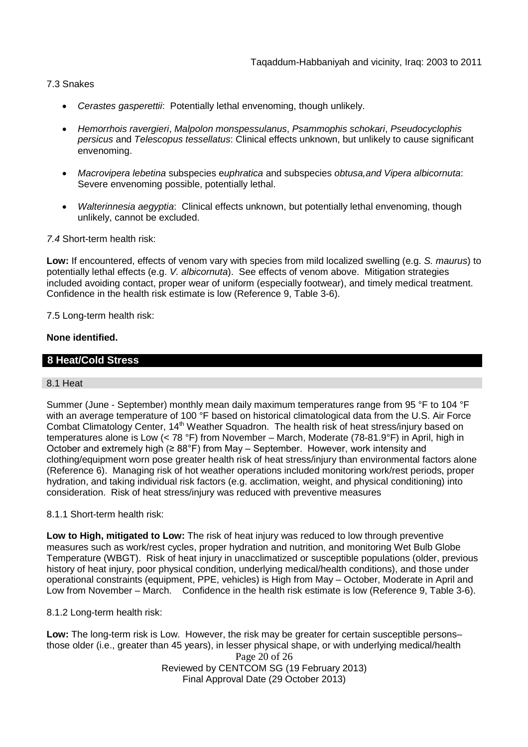## 7.3 Snakes

- *Cerastes gasperettii*: Potentially lethal envenoming, though unlikely.
- *Hemorrhois ravergieri*, *Malpolon monspessulanus*, *Psammophis schokari*, *Pseudocyclophis persicus* and *Telescopus tessellatus*: Clinical effects unknown, but unlikely to cause significant envenoming.
- *Macrovipera lebetina* subspecies e*uphratica* and subspecies *obtusa,and Vipera albicornuta*: Severe envenoming possible, potentially lethal.
- *Walterinnesia aegyptia*: Clinical effects unknown, but potentially lethal envenoming, though unlikely, cannot be excluded.

*7.4* Short-term health risk:

**Low:** If encountered, effects of venom vary with species from mild localized swelling (e.g. *S. maurus*) to potentially lethal effects (e.g. *V. albicornuta*). See effects of venom above. Mitigation strategies included avoiding contact, proper wear of uniform (especially footwear), and timely medical treatment. Confidence in the health risk estimate is low (Reference 9, Table 3-6).

7.5 Long-term health risk:

## **None identified.**

## **8 Heat/Cold Stress**

#### 8.1 Heat

Summer (June - September) monthly mean daily maximum temperatures range from 95 °F to 104 °F with an average temperature of 100 °F based on historical climatological data from the U.S. Air Force Combat Climatology Center, 14<sup>th</sup> Weather Squadron. The health risk of heat stress/injury based on temperatures alone is Low (< 78 °F) from November – March, Moderate (78-81.9°F) in April, high in October and extremely high  $(\geq 88^\circ F)$  from May – September. However, work intensity and clothing/equipment worn pose greater health risk of heat stress/injury than environmental factors alone (Reference 6). Managing risk of hot weather operations included monitoring work/rest periods, proper hydration, and taking individual risk factors (e.g. acclimation, weight, and physical conditioning) into consideration. Risk of heat stress/injury was reduced with preventive measures

## 8.1.1 Short-term health risk:

**Low to High, mitigated to Low:** The risk of heat injury was reduced to low through preventive measures such as work/rest cycles, proper hydration and nutrition, and monitoring Wet Bulb Globe Temperature (WBGT). Risk of heat injury in unacclimatized or susceptible populations (older, previous history of heat injury, poor physical condition, underlying medical/health conditions), and those under operational constraints (equipment, PPE, vehicles) is High from May – October, Moderate in April and Low from November – March. Confidence in the health risk estimate is low (Reference 9, Table 3-6).

8.1.2 Long-term health risk:

Page 20 of 26 Reviewed by CENTCOM SG (19 February 2013) Final Approval Date (29 October 2013) **Low:** The long-term risk is Low. However, the risk may be greater for certain susceptible persons– those older (i.e., greater than 45 years), in lesser physical shape, or with underlying medical/health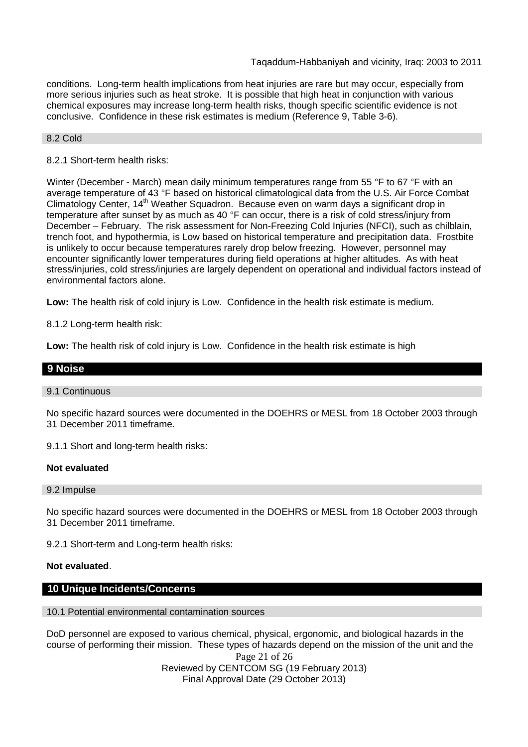conditions. Long-term health implications from heat injuries are rare but may occur, especially from more serious injuries such as heat stroke. It is possible that high heat in conjunction with various chemical exposures may increase long-term health risks, though specific scientific evidence is not conclusive. Confidence in these risk estimates is medium (Reference 9, Table 3-6).

#### 8.2 Cold

## 8.2.1 Short-term health risks:

Winter (December - March) mean daily minimum temperatures range from 55 °F to 67 °F with an average temperature of 43 °F based on historical climatological data from the U.S. Air Force Combat Climatology Center, 14<sup>th</sup> Weather Squadron. Because even on warm days a significant drop in temperature after sunset by as much as 40 °F can occur, there is a risk of cold stress/injury from December – February. The risk assessment for Non-Freezing Cold Injuries (NFCI), such as chilblain, trench foot, and hypothermia, is Low based on historical temperature and precipitation data. Frostbite is unlikely to occur because temperatures rarely drop below freezing. However, personnel may encounter significantly lower temperatures during field operations at higher altitudes. As with heat stress/injuries, cold stress/injuries are largely dependent on operational and individual factors instead of environmental factors alone.

**Low:** The health risk of cold injury is Low. Confidence in the health risk estimate is medium.

8.1.2 Long-term health risk:

**Low:** The health risk of cold injury is Low. Confidence in the health risk estimate is high

## **9 Noise**

#### 9.1 Continuous

No specific hazard sources were documented in the DOEHRS or MESL from 18 October 2003 through 31 December 2011 timeframe.

9.1.1 Short and long-term health risks:

#### **Not evaluated**

#### 9.2 Impulse

No specific hazard sources were documented in the DOEHRS or MESL from 18 October 2003 through 31 December 2011 timeframe.

9.2.1 Short-term and Long-term health risks:

#### **Not evaluated**.

## **10 Unique Incidents/Concerns**

#### 10.1 Potential environmental contamination sources

DoD personnel are exposed to various chemical, physical, ergonomic, and biological hazards in the course of performing their mission. These types of hazards depend on the mission of the unit and the

> Page 21 of 26 Reviewed by CENTCOM SG (19 February 2013) Final Approval Date (29 October 2013)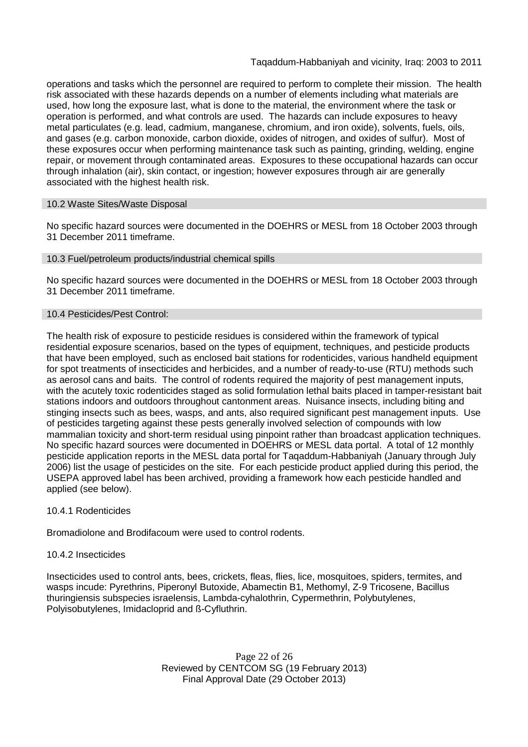operations and tasks which the personnel are required to perform to complete their mission. The health risk associated with these hazards depends on a number of elements including what materials are used, how long the exposure last, what is done to the material, the environment where the task or operation is performed, and what controls are used. The hazards can include exposures to heavy metal particulates (e.g. lead, cadmium, manganese, chromium, and iron oxide), solvents, fuels, oils, and gases (e.g. carbon monoxide, carbon dioxide, oxides of nitrogen, and oxides of sulfur). Most of these exposures occur when performing maintenance task such as painting, grinding, welding, engine repair, or movement through contaminated areas. Exposures to these occupational hazards can occur through inhalation (air), skin contact, or ingestion; however exposures through air are generally associated with the highest health risk.

## 10.2 Waste Sites/Waste Disposal

No specific hazard sources were documented in the DOEHRS or MESL from 18 October 2003 through 31 December 2011 timeframe.

## 10.3 Fuel/petroleum products/industrial chemical spills

No specific hazard sources were documented in the DOEHRS or MESL from 18 October 2003 through 31 December 2011 timeframe.

#### 10.4 Pesticides/Pest Control:

The health risk of exposure to pesticide residues is considered within the framework of typical residential exposure scenarios, based on the types of equipment, techniques, and pesticide products that have been employed, such as enclosed bait stations for rodenticides, various handheld equipment for spot treatments of insecticides and herbicides, and a number of ready-to-use (RTU) methods such as aerosol cans and baits. The control of rodents required the majority of pest management inputs, with the acutely toxic rodenticides staged as solid formulation lethal baits placed in tamper-resistant bait stations indoors and outdoors throughout cantonment areas. Nuisance insects, including biting and stinging insects such as bees, wasps, and ants, also required significant pest management inputs. Use of pesticides targeting against these pests generally involved selection of compounds with low mammalian toxicity and short-term residual using pinpoint rather than broadcast application techniques. No specific hazard sources were documented in DOEHRS or MESL data portal. A total of 12 monthly pesticide application reports in the MESL data portal for Taqaddum-Habbaniyah (January through July 2006) list the usage of pesticides on the site. For each pesticide product applied during this period, the USEPA approved label has been archived, providing a framework how each pesticide handled and applied (see below).

#### 10.4.1 Rodenticides

Bromadiolone and Brodifacoum were used to control rodents.

## 10.4.2 Insecticides

Insecticides used to control ants, bees, crickets, fleas, flies, lice, mosquitoes, spiders, termites, and wasps incude: Pyrethrins, Piperonyl Butoxide, Abamectin B1, Methomyl, Z-9 Tricosene, Bacillus thuringiensis subspecies israelensis, Lambda-cyhalothrin, Cypermethrin, Polybutylenes, Polyisobutylenes, Imidacloprid and ß-Cyfluthrin.

> Page 22 of 26 Reviewed by CENTCOM SG (19 February 2013) Final Approval Date (29 October 2013)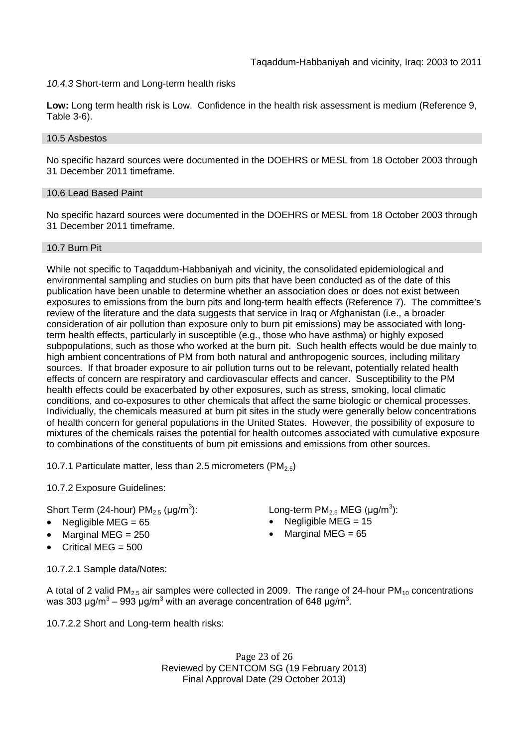*10.4.3* Short-term and Long-term health risks

**Low:** Long term health risk is Low. Confidence in the health risk assessment is medium (Reference 9, Table 3-6).

#### 10.5 Asbestos

No specific hazard sources were documented in the DOEHRS or MESL from 18 October 2003 through 31 December 2011 timeframe.

#### 10.6 Lead Based Paint

No specific hazard sources were documented in the DOEHRS or MESL from 18 October 2003 through 31 December 2011 timeframe.

## 10.7 Burn Pit

While not specific to Taqaddum-Habbaniyah and vicinity, the consolidated epidemiological and environmental sampling and studies on burn pits that have been conducted as of the date of this publication have been unable to determine whether an association does or does not exist between exposures to emissions from the burn pits and long-term health effects (Reference 7). The committee's review of the literature and the data suggests that service in Iraq or Afghanistan (i.e., a broader consideration of air pollution than exposure only to burn pit emissions) may be associated with longterm health effects, particularly in susceptible (e.g., those who have asthma) or highly exposed subpopulations, such as those who worked at the burn pit. Such health effects would be due mainly to high ambient concentrations of PM from both natural and anthropogenic sources, including military sources. If that broader exposure to air pollution turns out to be relevant, potentially related health effects of concern are respiratory and cardiovascular effects and cancer. Susceptibility to the PM health effects could be exacerbated by other exposures, such as stress, smoking, local climatic conditions, and co-exposures to other chemicals that affect the same biologic or chemical processes. Individually, the chemicals measured at burn pit sites in the study were generally below concentrations of health concern for general populations in the United States. However, the possibility of exposure to mixtures of the chemicals raises the potential for health outcomes associated with cumulative exposure to combinations of the constituents of burn pit emissions and emissions from other sources.

10.7.1 Particulate matter, less than 2.5 micrometers (PM $_{2.5}$ )

10.7.2 Exposure Guidelines:

Short Term (24-hour) PM $_{2.5}$  (µg/m $^3$ 

- Negligible MEG = 65 Negligible MEG = 15
- 
- Critical MEG  $= 500$

): Long-term PM<sub>2.5</sub> MEG ( $\mu$ g/m<sup>3</sup>):

- 
- Marginal MEG =  $250$   $\bullet$  Marginal MEG =  $65$

10.7.2.1 Sample data/Notes:

A total of 2 valid PM<sub>2.5</sub> air samples were collected in 2009. The range of 24-hour PM<sub>10</sub> concentrations was 303 μg/m<sup>3</sup> – 993 μg/m<sup>3</sup> with an average concentration of 648 μg/m<sup>3</sup>.

10.7.2.2 Short and Long-term health risks:

Page 23 of 26 Reviewed by CENTCOM SG (19 February 2013) Final Approval Date (29 October 2013)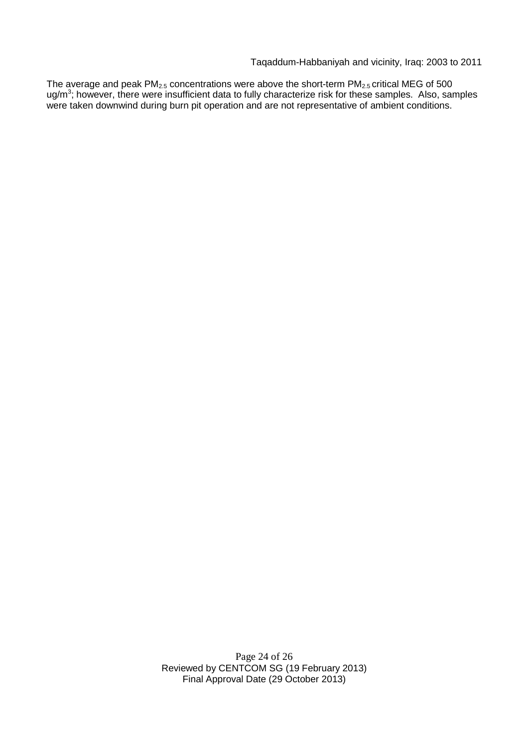Taqaddum-Habbaniyah and vicinity, Iraq: 2003 to 2011

The average and peak PM<sub>2.5</sub> concentrations were above the short-term PM<sub>2.5</sub> critical MEG of 500 ug/m<sup>3</sup>; however, there were insufficient data to fully characterize risk for these samples. Also, samples were taken downwind during burn pit operation and are not representative of ambient conditions.

> Page 24 of 26 Reviewed by CENTCOM SG (19 February 2013) Final Approval Date (29 October 2013)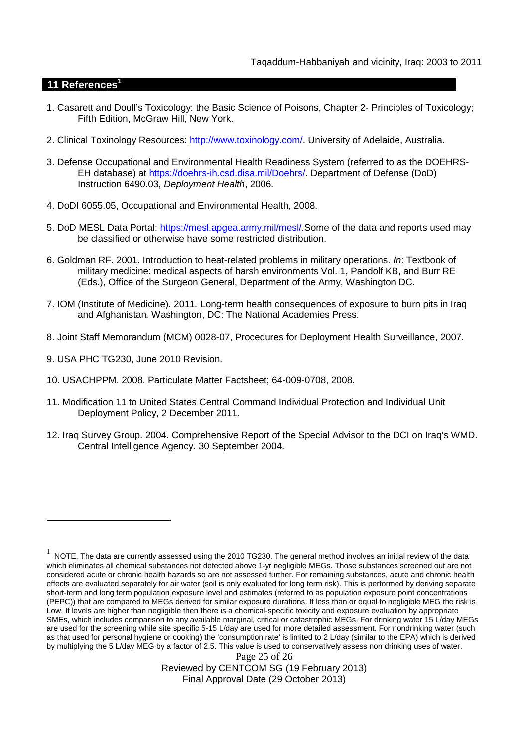## **11 References<sup>1</sup>**

- 1. Casarett and Doull's Toxicology: the Basic Science of Poisons, Chapter 2- Principles of Toxicology; Fifth Edition, McGraw Hill, New York.
- 2. Clinical Toxinology Resources: http://www.toxinology.com/. University of Adelaide, Australia.
- 3. Defense Occupational and Environmental Health Readiness System (referred to as the DOEHRS-EH database) at https://doehrs-ih.csd.disa.mil/Doehrs/. Department of Defense (DoD) Instruction 6490.03, *Deployment Health*, 2006.
- 4. DoDI 6055.05, Occupational and Environmental Health, 2008.
- 5. DoD MESL Data Portal: https://mesl.apgea.army.mil/mesl/.Some of the data and reports used may be classified or otherwise have some restricted distribution.
- 6. Goldman RF. 2001. Introduction to heat-related problems in military operations. *In*: Textbook of military medicine: medical aspects of harsh environments Vol. 1, Pandolf KB, and Burr RE (Eds.), Office of the Surgeon General, Department of the Army, Washington DC.
- 7. IOM (Institute of Medicine). 2011*.* Long-term health consequences of exposure to burn pits in Iraq and Afghanistan*.* Washington, DC: The National Academies Press.
- 8. Joint Staff Memorandum (MCM) 0028-07, Procedures for Deployment Health Surveillance, 2007.
- 9. USA PHC TG230, June 2010 Revision.
- 10. USACHPPM. 2008. Particulate Matter Factsheet; 64-009-0708, 2008.
- 11. Modification 11 to United States Central Command Individual Protection and Individual Unit Deployment Policy, 2 December 2011.
- 12. Iraq Survey Group. 2004. Comprehensive Report of the Special Advisor to the DCI on Iraq's WMD. Central Intelligence Agency. 30 September 2004.

Page 25 of 26 Reviewed by CENTCOM SG (19 February 2013) Final Approval Date (29 October 2013)

 $^1$  NOTE. The data are currently assessed using the 2010 TG230. The general method involves an initial review of the data which eliminates all chemical substances not detected above 1-yr negligible MEGs. Those substances screened out are not considered acute or chronic health hazards so are not assessed further. For remaining substances, acute and chronic health effects are evaluated separately for air water (soil is only evaluated for long term risk). This is performed by deriving separate short-term and long term population exposure level and estimates (referred to as population exposure point concentrations (PEPC)) that are compared to MEGs derived for similar exposure durations. If less than or equal to negligible MEG the risk is Low. If levels are higher than negligible then there is a chemical-specific toxicity and exposure evaluation by appropriate SMEs, which includes comparison to any available marginal, critical or catastrophic MEGs. For drinking water 15 L/day MEGs are used for the screening while site specific 5-15 L/day are used for more detailed assessment. For nondrinking water (such as that used for personal hygiene or cooking) the 'consumption rate' is limited to 2 L/day (similar to the EPA) which is derived by multiplying the 5 L/day MEG by a factor of 2.5. This value is used to conservatively assess non drinking uses of water.